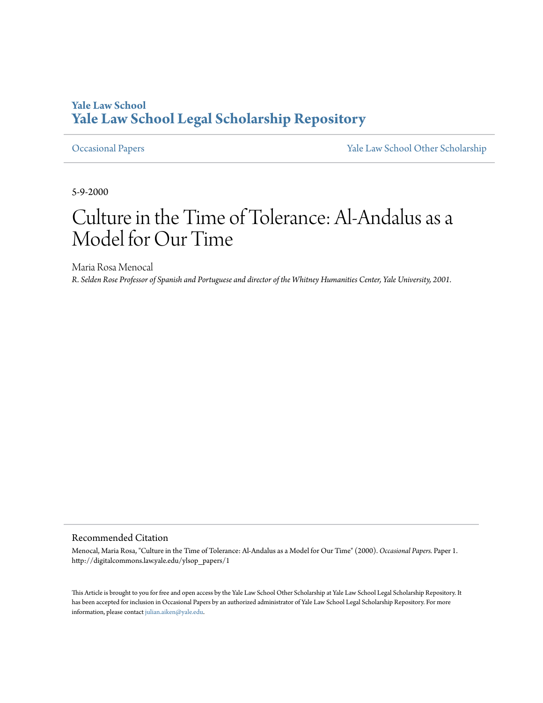## **Yale Law School** Yale Law School Legal Scholarship Repository

#### **Occasional Papers**

Yale Law School Other Scholarship

5-9-2000

# Culture in the Time of Tolerance: Al-Andalus as a Model for Our Time

Maria Rosa Menocal R. Selden Rose Professor of Spanish and Portuguese and director of the Whitney Humanities Center, Yale University, 2001.

#### Recommended Citation

Menocal, Maria Rosa, "Culture in the Time of Tolerance: Al-Andalus as a Model for Our Time" (2000). Occasional Papers. Paper 1. http://digitalcommons.law.yale.edu/ylsop\_papers/1

This Article is brought to you for free and open access by the Yale Law School Other Scholarship at Yale Law School Legal Scholarship Repository. It has been accepted for inclusion in Occasional Papers by an authorized administrator of Yale Law School Legal Scholarship Repository. For more information, please contact julian.aiken@yale.edu.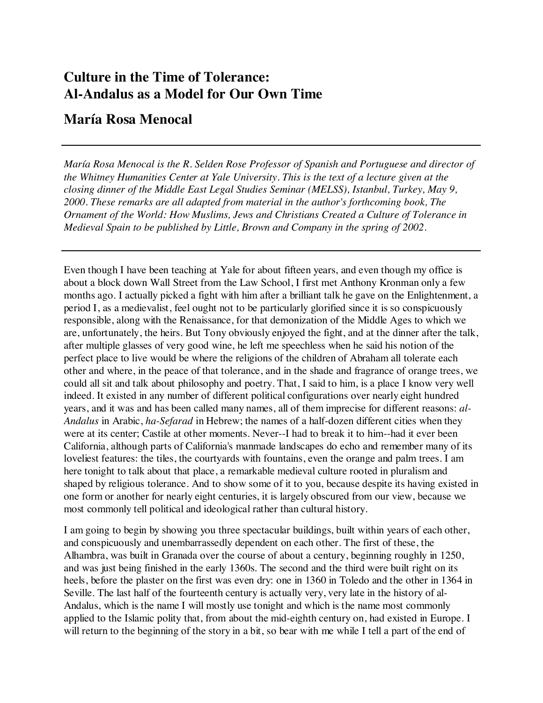# **Culture in the Time of Tolerance: Al-Andalus as a Model for Our Own Time**

### **María Rosa Menocal**

*María Rosa Menocal is the R. Selden Rose Professor of Spanish and Portuguese and director of the Whitney Humanities Center at Yale University. This is the text of a lecture given at the closing dinner of the Middle East Legal Studies Seminar (MELSS), Istanbul, Turkey, May 9, 2000. These remarks are all adapted from material in the author's forthcoming book, The Ornament of the World: How Muslims, Jews and Christians Created a Culture of Tolerance in Medieval Spain to be published by Little, Brown and Company in the spring of 2002.*

Even though I have been teaching at Yale for about fifteen years, and even though my office is about a block down Wall Street from the Law School, I first met Anthony Kronman only a few months ago. I actually picked a fight with him after a brilliant talk he gave on the Enlightenment, a period I, as a medievalist, feel ought not to be particularly glorified since it is so conspicuously responsible, along with the Renaissance, for that demonization of the Middle Ages to which we are, unfortunately, the heirs. But Tony obviously enjoyed the fight, and at the dinner after the talk, after multiple glasses of very good wine, he left me speechless when he said his notion of the perfect place to live would be where the religions of the children of Abraham all tolerate each other and where, in the peace of that tolerance, and in the shade and fragrance of orange trees, we could all sit and talk about philosophy and poetry. That, I said to him, is a place I know very well indeed. It existed in any number of different political configurations over nearly eight hundred years, and it was and has been called many names, all of them imprecise for different reasons: *al-Andalus* in Arabic, *ha-Sefarad* in Hebrew; the names of a half-dozen different cities when they were at its center; Castile at other moments. Never--I had to break it to him--had it ever been California, although parts of California's manmade landscapes do echo and remember many of its loveliest features: the tiles, the courtyards with fountains, even the orange and palm trees. I am here tonight to talk about that place, a remarkable medieval culture rooted in pluralism and shaped by religious tolerance. And to show some of it to you, because despite its having existed in one form or another for nearly eight centuries, it is largely obscured from our view, because we most commonly tell political and ideological rather than cultural history.

I am going to begin by showing you three spectacular buildings, built within years of each other, and conspicuously and unembarrassedly dependent on each other. The first of these, the Alhambra, was built in Granada over the course of about a century, beginning roughly in 1250, and was just being finished in the early 1360s. The second and the third were built right on its heels, before the plaster on the first was even dry: one in 1360 in Toledo and the other in 1364 in Seville. The last half of the fourteenth century is actually very, very late in the history of al-Andalus, which is the name I will mostly use tonight and which is the name most commonly applied to the Islamic polity that, from about the mid-eighth century on, had existed in Europe. I will return to the beginning of the story in a bit, so bear with me while I tell a part of the end of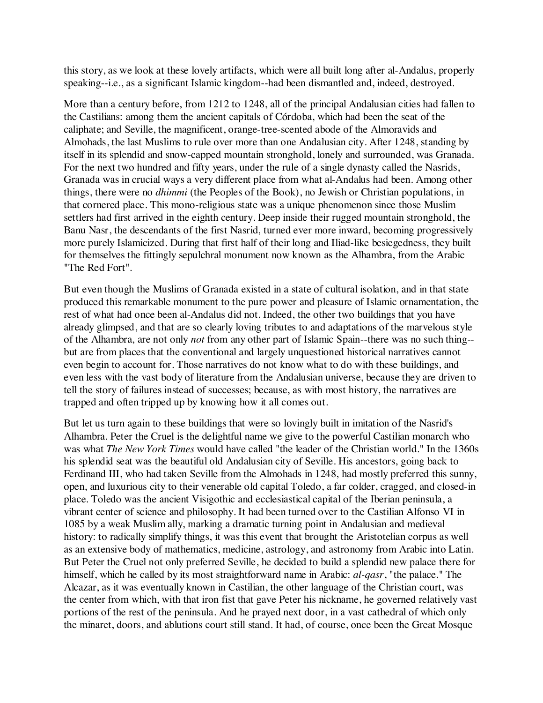this story, as we look at these lovely artifacts, which were all built long after al-Andalus, properly speaking--i.e., as a significant Islamic kingdom--had been dismantled and, indeed, destroyed.

More than a century before, from 1212 to 1248, all of the principal Andalusian cities had fallen to the Castilians: among them the ancient capitals of Córdoba, which had been the seat of the caliphate; and Seville, the magnificent, orange-tree-scented abode of the Almoravids and Almohads, the last Muslims to rule over more than one Andalusian city. After 1248, standing by itself in its splendid and snow-capped mountain stronghold, lonely and surrounded, was Granada. For the next two hundred and fifty years, under the rule of a single dynasty called the Nasrids, Granada was in crucial ways a very different place from what al-Andalus had been. Among other things, there were no *dhimmi* (the Peoples of the Book), no Jewish or Christian populations, in that cornered place. This mono-religious state was a unique phenomenon since those Muslim settlers had first arrived in the eighth century. Deep inside their rugged mountain stronghold, the Banu Nasr, the descendants of the first Nasrid, turned ever more inward, becoming progressively more purely Islamicized. During that first half of their long and Iliad-like besiegedness, they built for themselves the fittingly sepulchral monument now known as the Alhambra, from the Arabic "The Red Fort".

But even though the Muslims of Granada existed in a state of cultural isolation, and in that state produced this remarkable monument to the pure power and pleasure of Islamic ornamentation, the rest of what had once been al-Andalus did not. Indeed, the other two buildings that you have already glimpsed, and that are so clearly loving tributes to and adaptations of the marvelous style of the Alhambra, are not only *not* from any other part of Islamic Spain--there was no such thing- but are from places that the conventional and largely unquestioned historical narratives cannot even begin to account for. Those narratives do not know what to do with these buildings, and even less with the vast body of literature from the Andalusian universe, because they are driven to tell the story of failures instead of successes; because, as with most history, the narratives are trapped and often tripped up by knowing how it all comes out.

But let us turn again to these buildings that were so lovingly built in imitation of the Nasrid's Alhambra. Peter the Cruel is the delightful name we give to the powerful Castilian monarch who was what *The New York Times* would have called "the leader of the Christian world." In the 1360s his splendid seat was the beautiful old Andalusian city of Seville. His ancestors, going back to Ferdinand III, who had taken Seville from the Almohads in 1248, had mostly preferred this sunny, open, and luxurious city to their venerable old capital Toledo, a far colder, cragged, and closed-in place. Toledo was the ancient Visigothic and ecclesiastical capital of the Iberian peninsula, a vibrant center of science and philosophy. It had been turned over to the Castilian Alfonso VI in 1085 by a weak Muslim ally, marking a dramatic turning point in Andalusian and medieval history: to radically simplify things, it was this event that brought the Aristotelian corpus as well as an extensive body of mathematics, medicine, astrology, and astronomy from Arabic into Latin. But Peter the Cruel not only preferred Seville, he decided to build a splendid new palace there for himself, which he called by its most straightforward name in Arabic: *al-qasr*, "the palace." The Alcazar, as it was eventually known in Castilian, the other language of the Christian court, was the center from which, with that iron fist that gave Peter his nickname, he governed relatively vast portions of the rest of the peninsula. And he prayed next door, in a vast cathedral of which only the minaret, doors, and ablutions court still stand. It had, of course, once been the Great Mosque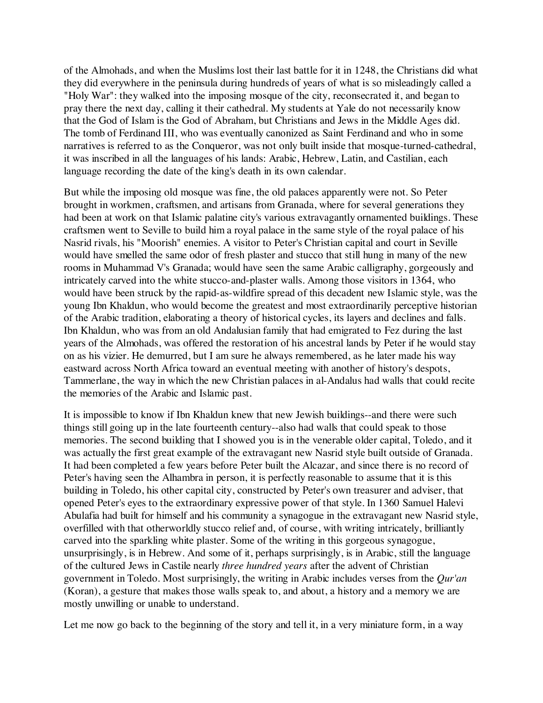of the Almohads, and when the Muslims lost their last battle for it in 1248, the Christians did what they did everywhere in the peninsula during hundreds of years of what is so misleadingly called a "Holy War": they walked into the imposing mosque of the city, reconsecrated it, and began to pray there the next day, calling it their cathedral. My students at Yale do not necessarily know that the God of Islam is the God of Abraham, but Christians and Jews in the Middle Ages did. The tomb of Ferdinand III, who was eventually canonized as Saint Ferdinand and who in some narratives is referred to as the Conqueror, was not only built inside that mosque-turned-cathedral, it was inscribed in all the languages of his lands: Arabic, Hebrew, Latin, and Castilian, each language recording the date of the king's death in its own calendar.

But while the imposing old mosque was fine, the old palaces apparently were not. So Peter brought in workmen, craftsmen, and artisans from Granada, where for several generations they had been at work on that Islamic palatine city's various extravagantly ornamented buildings. These craftsmen went to Seville to build him a royal palace in the same style of the royal palace of his Nasrid rivals, his "Moorish" enemies. A visitor to Peter's Christian capital and court in Seville would have smelled the same odor of fresh plaster and stucco that still hung in many of the new rooms in Muhammad V's Granada; would have seen the same Arabic calligraphy, gorgeously and intricately carved into the white stucco-and-plaster walls. Among those visitors in 1364, who would have been struck by the rapid-as-wildfire spread of this decadent new Islamic style, was the young Ibn Khaldun, who would become the greatest and most extraordinarily perceptive historian of the Arabic tradition, elaborating a theory of historical cycles, its layers and declines and falls. Ibn Khaldun, who was from an old Andalusian family that had emigrated to Fez during the last years of the Almohads, was offered the restoration of his ancestral lands by Peter if he would stay on as his vizier. He demurred, but I am sure he always remembered, as he later made his way eastward across North Africa toward an eventual meeting with another of history's despots, Tammerlane, the way in which the new Christian palaces in al-Andalus had walls that could recite the memories of the Arabic and Islamic past.

It is impossible to know if Ibn Khaldun knew that new Jewish buildings--and there were such things still going up in the late fourteenth century--also had walls that could speak to those memories. The second building that I showed you is in the venerable older capital, Toledo, and it was actually the first great example of the extravagant new Nasrid style built outside of Granada. It had been completed a few years before Peter built the Alcazar, and since there is no record of Peter's having seen the Alhambra in person, it is perfectly reasonable to assume that it is this building in Toledo, his other capital city, constructed by Peter's own treasurer and adviser, that opened Peter's eyes to the extraordinary expressive power of that style. In 1360 Samuel Halevi Abulafia had built for himself and his community a synagogue in the extravagant new Nasrid style, overfilled with that otherworldly stucco relief and, of course, with writing intricately, brilliantly carved into the sparkling white plaster. Some of the writing in this gorgeous synagogue, unsurprisingly, is in Hebrew. And some of it, perhaps surprisingly, is in Arabic, still the language of the cultured Jews in Castile nearly *three hundred years* after the advent of Christian government in Toledo. Most surprisingly, the writing in Arabic includes verses from the *Qur'an* (Koran), a gesture that makes those walls speak to, and about, a history and a memory we are mostly unwilling or unable to understand.

Let me now go back to the beginning of the story and tell it, in a very miniature form, in a way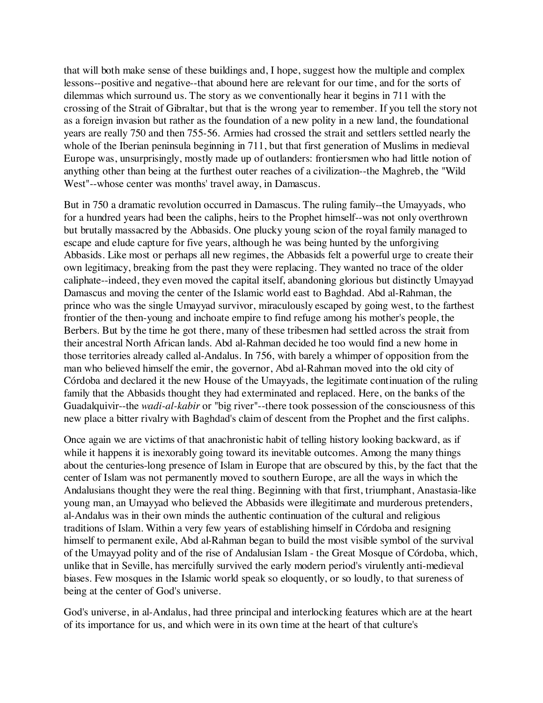that will both make sense of these buildings and, I hope, suggest how the multiple and complex lessons--positive and negative--that abound here are relevant for our time, and for the sorts of dilemmas which surround us. The story as we conventionally hear it begins in 711 with the crossing of the Strait of Gibraltar, but that is the wrong year to remember. If you tell the story not as a foreign invasion but rather as the foundation of a new polity in a new land, the foundational years are really 750 and then 755-56. Armies had crossed the strait and settlers settled nearly the whole of the Iberian peninsula beginning in 711, but that first generation of Muslims in medieval Europe was, unsurprisingly, mostly made up of outlanders: frontiersmen who had little notion of anything other than being at the furthest outer reaches of a civilization--the Maghreb, the "Wild West"--whose center was months' travel away, in Damascus.

But in 750 a dramatic revolution occurred in Damascus. The ruling family--the Umayyads, who for a hundred years had been the caliphs, heirs to the Prophet himself--was not only overthrown but brutally massacred by the Abbasids. One plucky young scion of the royal family managed to escape and elude capture for five years, although he was being hunted by the unforgiving Abbasids. Like most or perhaps all new regimes, the Abbasids felt a powerful urge to create their own legitimacy, breaking from the past they were replacing. They wanted no trace of the older caliphate--indeed, they even moved the capital itself, abandoning glorious but distinctly Umayyad Damascus and moving the center of the Islamic world east to Baghdad. Abd al-Rahman, the prince who was the single Umayyad survivor, miraculously escaped by going west, to the farthest frontier of the then-young and inchoate empire to find refuge among his mother's people, the Berbers. But by the time he got there, many of these tribesmen had settled across the strait from their ancestral North African lands. Abd al-Rahman decided he too would find a new home in those territories already called al-Andalus. In 756, with barely a whimper of opposition from the man who believed himself the emir, the governor, Abd al-Rahman moved into the old city of Córdoba and declared it the new House of the Umayyads, the legitimate continuation of the ruling family that the Abbasids thought they had exterminated and replaced. Here, on the banks of the Guadalquivir--the *wadi-al-kabir* or "big river"--there took possession of the consciousness of this new place a bitter rivalry with Baghdad's claim of descent from the Prophet and the first caliphs.

Once again we are victims of that anachronistic habit of telling history looking backward, as if while it happens it is inexorably going toward its inevitable outcomes. Among the many things about the centuries-long presence of Islam in Europe that are obscured by this, by the fact that the center of Islam was not permanently moved to southern Europe, are all the ways in which the Andalusians thought they were the real thing. Beginning with that first, triumphant, Anastasia-like young man, an Umayyad who believed the Abbasids were illegitimate and murderous pretenders, al-Andalus was in their own minds the authentic continuation of the cultural and religious traditions of Islam. Within a very few years of establishing himself in Córdoba and resigning himself to permanent exile, Abd al-Rahman began to build the most visible symbol of the survival of the Umayyad polity and of the rise of Andalusian Islam - the Great Mosque of Córdoba, which, unlike that in Seville, has mercifully survived the early modern period's virulently anti-medieval biases. Few mosques in the Islamic world speak so eloquently, or so loudly, to that sureness of being at the center of God's universe.

God's universe, in al-Andalus, had three principal and interlocking features which are at the heart of its importance for us, and which were in its own time at the heart of that culture's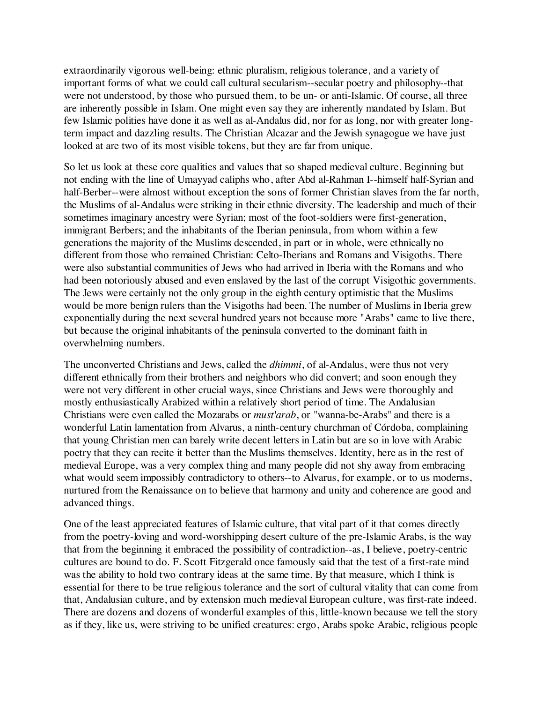extraordinarily vigorous well-being: ethnic pluralism, religious tolerance, and a variety of important forms of what we could call cultural secularism--secular poetry and philosophy--that were not understood, by those who pursued them, to be un- or anti-Islamic. Of course, all three are inherently possible in Islam. One might even say they are inherently mandated by Islam. But few Islamic polities have done it as well as al-Andalus did, nor for as long, nor with greater longterm impact and dazzling results. The Christian Alcazar and the Jewish synagogue we have just looked at are two of its most visible tokens, but they are far from unique.

So let us look at these core qualities and values that so shaped medieval culture. Beginning but not ending with the line of Umayyad caliphs who, after Abd al-Rahman I--himself half-Syrian and half-Berber--were almost without exception the sons of former Christian slaves from the far north, the Muslims of al-Andalus were striking in their ethnic diversity. The leadership and much of their sometimes imaginary ancestry were Syrian; most of the foot-soldiers were first-generation, immigrant Berbers; and the inhabitants of the Iberian peninsula, from whom within a few generations the majority of the Muslims descended, in part or in whole, were ethnically no different from those who remained Christian: Celto-Iberians and Romans and Visigoths. There were also substantial communities of Jews who had arrived in Iberia with the Romans and who had been notoriously abused and even enslaved by the last of the corrupt Visigothic governments. The Jews were certainly not the only group in the eighth century optimistic that the Muslims would be more benign rulers than the Visigoths had been. The number of Muslims in Iberia grew exponentially during the next several hundred years not because more "Arabs" came to live there, but because the original inhabitants of the peninsula converted to the dominant faith in overwhelming numbers.

The unconverted Christians and Jews, called the *dhimmi*, of al-Andalus, were thus not very different ethnically from their brothers and neighbors who did convert; and soon enough they were not very different in other crucial ways, since Christians and Jews were thoroughly and mostly enthusiastically Arabized within a relatively short period of time. The Andalusian Christians were even called the Mozarabs or *must'arab*, or "wanna-be-Arabs" and there is a wonderful Latin lamentation from Alvarus, a ninth-century churchman of Córdoba, complaining that young Christian men can barely write decent letters in Latin but are so in love with Arabic poetry that they can recite it better than the Muslims themselves. Identity, here as in the rest of medieval Europe, was a very complex thing and many people did not shy away from embracing what would seem impossibly contradictory to others--to Alvarus, for example, or to us moderns, nurtured from the Renaissance on to believe that harmony and unity and coherence are good and advanced things.

One of the least appreciated features of Islamic culture, that vital part of it that comes directly from the poetry-loving and word-worshipping desert culture of the pre-Islamic Arabs, is the way that from the beginning it embraced the possibility of contradiction--as, I believe, poetry-centric cultures are bound to do. F. Scott Fitzgerald once famously said that the test of a first-rate mind was the ability to hold two contrary ideas at the same time. By that measure, which I think is essential for there to be true religious tolerance and the sort of cultural vitality that can come from that, Andalusian culture, and by extension much medieval European culture, was first-rate indeed. There are dozens and dozens of wonderful examples of this, little-known because we tell the story as if they, like us, were striving to be unified creatures: ergo, Arabs spoke Arabic, religious people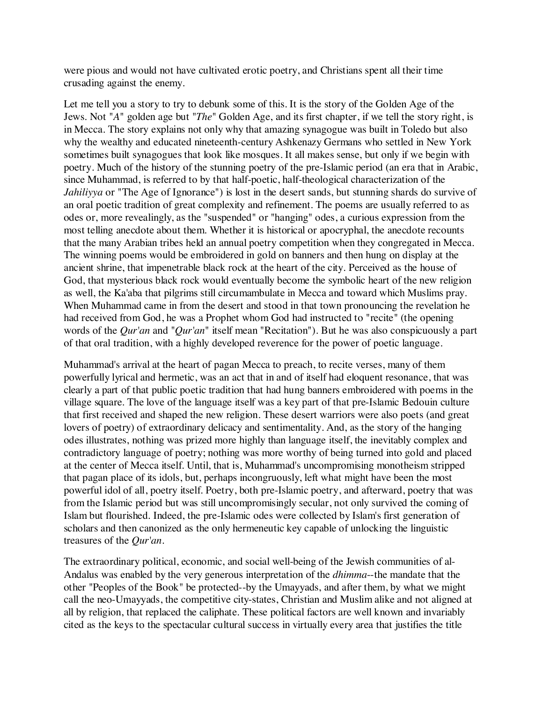were pious and would not have cultivated erotic poetry, and Christians spent all their time crusading against the enemy.

Let me tell you a story to try to debunk some of this. It is the story of the Golden Age of the Jews. Not "*A*" golden age but "*The*" Golden Age, and its first chapter, if we tell the story right, is in Mecca. The story explains not only why that amazing synagogue was built in Toledo but also why the wealthy and educated nineteenth-century Ashkenazy Germans who settled in New York sometimes built synagogues that look like mosques. It all makes sense, but only if we begin with poetry. Much of the history of the stunning poetry of the pre-Islamic period (an era that in Arabic, since Muhammad, is referred to by that half-poetic, half-theological characterization of the *Jahiliyya* or "The Age of Ignorance") is lost in the desert sands, but stunning shards do survive of an oral poetic tradition of great complexity and refinement. The poems are usually referred to as odes or, more revealingly, as the "suspended" or "hanging" odes, a curious expression from the most telling anecdote about them. Whether it is historical or apocryphal, the anecdote recounts that the many Arabian tribes held an annual poetry competition when they congregated in Mecca. The winning poems would be embroidered in gold on banners and then hung on display at the ancient shrine, that impenetrable black rock at the heart of the city. Perceived as the house of God, that mysterious black rock would eventually become the symbolic heart of the new religion as well, the Ka'aba that pilgrims still circumambulate in Mecca and toward which Muslims pray. When Muhammad came in from the desert and stood in that town pronouncing the revelation he had received from God, he was a Prophet whom God had instructed to "recite" (the opening words of the *Qur'an* and "*Qur'an*" itself mean "Recitation"). But he was also conspicuously a part of that oral tradition, with a highly developed reverence for the power of poetic language.

Muhammad's arrival at the heart of pagan Mecca to preach, to recite verses, many of them powerfully lyrical and hermetic, was an act that in and of itself had eloquent resonance, that was clearly a part of that public poetic tradition that had hung banners embroidered with poems in the village square. The love of the language itself was a key part of that pre-Islamic Bedouin culture that first received and shaped the new religion. These desert warriors were also poets (and great lovers of poetry) of extraordinary delicacy and sentimentality. And, as the story of the hanging odes illustrates, nothing was prized more highly than language itself, the inevitably complex and contradictory language of poetry; nothing was more worthy of being turned into gold and placed at the center of Mecca itself. Until, that is, Muhammad's uncompromising monotheism stripped that pagan place of its idols, but, perhaps incongruously, left what might have been the most powerful idol of all, poetry itself. Poetry, both pre-Islamic poetry, and afterward, poetry that was from the Islamic period but was still uncompromisingly secular, not only survived the coming of Islam but flourished. Indeed, the pre-Islamic odes were collected by Islam's first generation of scholars and then canonized as the only hermeneutic key capable of unlocking the linguistic treasures of the *Qur'an*.

The extraordinary political, economic, and social well-being of the Jewish communities of al-Andalus was enabled by the very generous interpretation of the *dhimma*--the mandate that the other "Peoples of the Book" be protected--by the Umayyads, and after them, by what we might call the neo-Umayyads, the competitive city-states, Christian and Muslim alike and not aligned at all by religion, that replaced the caliphate. These political factors are well known and invariably cited as the keys to the spectacular cultural success in virtually every area that justifies the title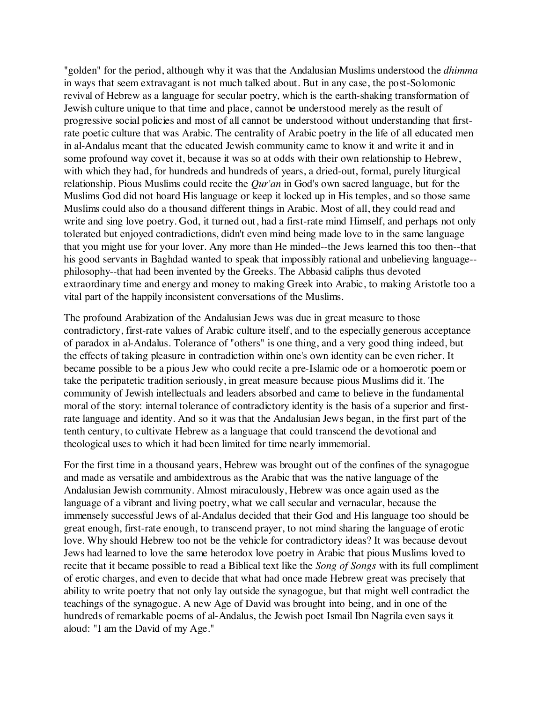"golden" for the period, although why it was that the Andalusian Muslims understood the *dhimma* in ways that seem extravagant is not much talked about. But in any case, the post-Solomonic revival of Hebrew as a language for secular poetry, which is the earth-shaking transformation of Jewish culture unique to that time and place, cannot be understood merely as the result of progressive social policies and most of all cannot be understood without understanding that firstrate poetic culture that was Arabic. The centrality of Arabic poetry in the life of all educated men in al-Andalus meant that the educated Jewish community came to know it and write it and in some profound way covet it, because it was so at odds with their own relationship to Hebrew, with which they had, for hundreds and hundreds of years, a dried-out, formal, purely liturgical relationship. Pious Muslims could recite the *Qur'an* in God's own sacred language, but for the Muslims God did not hoard His language or keep it locked up in His temples, and so those same Muslims could also do a thousand different things in Arabic. Most of all, they could read and write and sing love poetry. God, it turned out, had a first-rate mind Himself, and perhaps not only tolerated but enjoyed contradictions, didn't even mind being made love to in the same language that you might use for your lover. Any more than He minded--the Jews learned this too then--that his good servants in Baghdad wanted to speak that impossibly rational and unbelieving language- philosophy--that had been invented by the Greeks. The Abbasid caliphs thus devoted extraordinary time and energy and money to making Greek into Arabic, to making Aristotle too a vital part of the happily inconsistent conversations of the Muslims.

The profound Arabization of the Andalusian Jews was due in great measure to those contradictory, first-rate values of Arabic culture itself, and to the especially generous acceptance of paradox in al-Andalus. Tolerance of "others" is one thing, and a very good thing indeed, but the effects of taking pleasure in contradiction within one's own identity can be even richer. It became possible to be a pious Jew who could recite a pre-Islamic ode or a homoerotic poem or take the peripatetic tradition seriously, in great measure because pious Muslims did it. The community of Jewish intellectuals and leaders absorbed and came to believe in the fundamental moral of the story: internal tolerance of contradictory identity is the basis of a superior and firstrate language and identity. And so it was that the Andalusian Jews began, in the first part of the tenth century, to cultivate Hebrew as a language that could transcend the devotional and theological uses to which it had been limited for time nearly immemorial.

For the first time in a thousand years, Hebrew was brought out of the confines of the synagogue and made as versatile and ambidextrous as the Arabic that was the native language of the Andalusian Jewish community. Almost miraculously, Hebrew was once again used as the language of a vibrant and living poetry, what we call secular and vernacular, because the immensely successful Jews of al-Andalus decided that their God and His language too should be great enough, first-rate enough, to transcend prayer, to not mind sharing the language of erotic love. Why should Hebrew too not be the vehicle for contradictory ideas? It was because devout Jews had learned to love the same heterodox love poetry in Arabic that pious Muslims loved to recite that it became possible to read a Biblical text like the *Song of Songs* with its full compliment of erotic charges, and even to decide that what had once made Hebrew great was precisely that ability to write poetry that not only lay outside the synagogue, but that might well contradict the teachings of the synagogue. A new Age of David was brought into being, and in one of the hundreds of remarkable poems of al-Andalus, the Jewish poet Ismail Ibn Nagrila even says it aloud: "I am the David of my Age."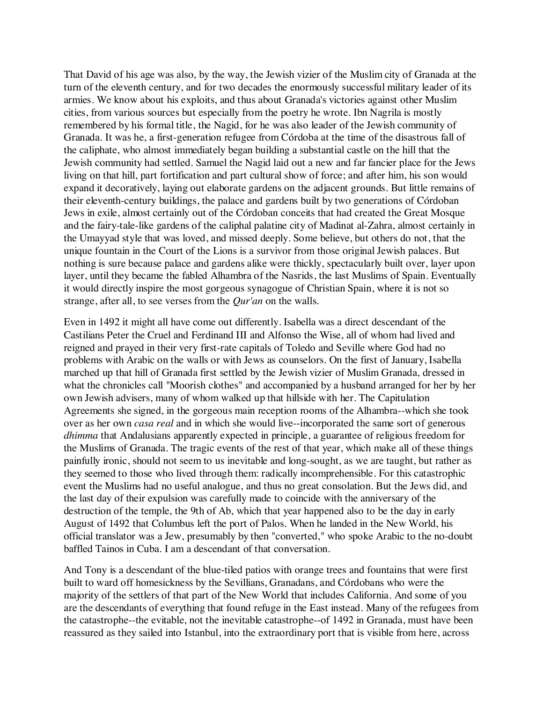That David of his age was also, by the way, the Jewish vizier of the Muslim city of Granada at the turn of the eleventh century, and for two decades the enormously successful military leader of its armies. We know about his exploits, and thus about Granada's victories against other Muslim cities, from various sources but especially from the poetry he wrote. Ibn Nagrila is mostly remembered by his formal title, the Nagid, for he was also leader of the Jewish community of Granada. It was he, a first-generation refugee from Córdoba at the time of the disastrous fall of the caliphate, who almost immediately began building a substantial castle on the hill that the Jewish community had settled. Samuel the Nagid laid out a new and far fancier place for the Jews living on that hill, part fortification and part cultural show of force; and after him, his son would expand it decoratively, laying out elaborate gardens on the adjacent grounds. But little remains of their eleventh-century buildings, the palace and gardens built by two generations of Córdoban Jews in exile, almost certainly out of the Córdoban conceits that had created the Great Mosque and the fairy-tale-like gardens of the caliphal palatine city of Madinat al-Zahra, almost certainly in the Umayyad style that was loved, and missed deeply. Some believe, but others do not, that the unique fountain in the Court of the Lions is a survivor from those original Jewish palaces. But nothing is sure because palace and gardens alike were thickly, spectacularly built over, layer upon layer, until they became the fabled Alhambra of the Nasrids, the last Muslims of Spain. Eventually it would directly inspire the most gorgeous synagogue of Christian Spain, where it is not so strange, after all, to see verses from the *Qur'an* on the walls.

Even in 1492 it might all have come out differently. Isabella was a direct descendant of the Castilians Peter the Cruel and Ferdinand III and Alfonso the Wise, all of whom had lived and reigned and prayed in their very first-rate capitals of Toledo and Seville where God had no problems with Arabic on the walls or with Jews as counselors. On the first of January, Isabella marched up that hill of Granada first settled by the Jewish vizier of Muslim Granada, dressed in what the chronicles call "Moorish clothes" and accompanied by a husband arranged for her by her own Jewish advisers, many of whom walked up that hillside with her. The Capitulation Agreements she signed, in the gorgeous main reception rooms of the Alhambra--which she took over as her own *casa real* and in which she would live--incorporated the same sort of generous *dhimma* that Andalusians apparently expected in principle, a guarantee of religious freedom for the Muslims of Granada. The tragic events of the rest of that year, which make all of these things painfully ironic, should not seem to us inevitable and long-sought, as we are taught, but rather as they seemed to those who lived through them: radically incomprehensible. For this catastrophic event the Muslims had no useful analogue, and thus no great consolation. But the Jews did, and the last day of their expulsion was carefully made to coincide with the anniversary of the destruction of the temple, the 9th of Ab, which that year happened also to be the day in early August of 1492 that Columbus left the port of Palos. When he landed in the New World, his official translator was a Jew, presumably by then "converted," who spoke Arabic to the no-doubt baffled Tainos in Cuba. I am a descendant of that conversation.

And Tony is a descendant of the blue-tiled patios with orange trees and fountains that were first built to ward off homesickness by the Sevillians, Granadans, and Córdobans who were the majority of the settlers of that part of the New World that includes California. And some of you are the descendants of everything that found refuge in the East instead. Many of the refugees from the catastrophe--the evitable, not the inevitable catastrophe--of 1492 in Granada, must have been reassured as they sailed into Istanbul, into the extraordinary port that is visible from here, across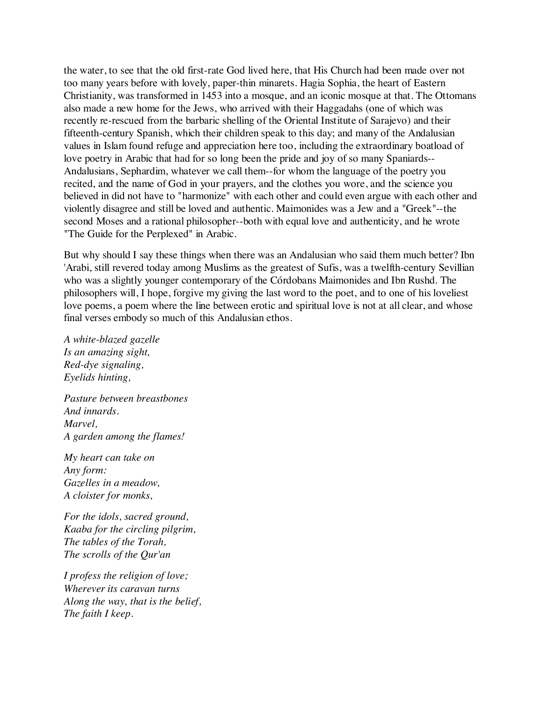the water, to see that the old first-rate God lived here, that His Church had been made over not too many years before with lovely, paper-thin minarets. Hagia Sophia, the heart of Eastern Christianity, was transformed in 1453 into a mosque, and an iconic mosque at that. The Ottomans also made a new home for the Jews, who arrived with their Haggadahs (one of which was recently re-rescued from the barbaric shelling of the Oriental Institute of Sarajevo) and their fifteenth-century Spanish, which their children speak to this day; and many of the Andalusian values in Islam found refuge and appreciation here too, including the extraordinary boatload of love poetry in Arabic that had for so long been the pride and joy of so many Spaniards-- Andalusians, Sephardim, whatever we call them--for whom the language of the poetry you recited, and the name of God in your prayers, and the clothes you wore, and the science you believed in did not have to "harmonize" with each other and could even argue with each other and violently disagree and still be loved and authentic. Maimonides was a Jew and a "Greek"--the second Moses and a rational philosopher--both with equal love and authenticity, and he wrote "The Guide for the Perplexed" in Arabic.

But why should I say these things when there was an Andalusian who said them much better? Ibn 'Arabi, still revered today among Muslims as the greatest of Sufis, was a twelfth-century Sevillian who was a slightly younger contemporary of the Córdobans Maimonides and Ibn Rushd. The philosophers will, I hope, forgive my giving the last word to the poet, and to one of his loveliest love poems, a poem where the line between erotic and spiritual love is not at all clear, and whose final verses embody so much of this Andalusian ethos.

*A white-blazed gazelle Is an amazing sight, Red-dye signaling, Eyelids hinting,*

*Pasture between breastbones And innards. Marvel, A garden among the flames!*

*My heart can take on Any form: Gazelles in a meadow, A cloister for monks,*

*For the idols, sacred ground, Kaaba for the circling pilgrim, The tables of the Torah, The scrolls of the Qur'an*

*I profess the religion of love; Wherever its caravan turns Along the way, that is the belief, The faith I keep.*